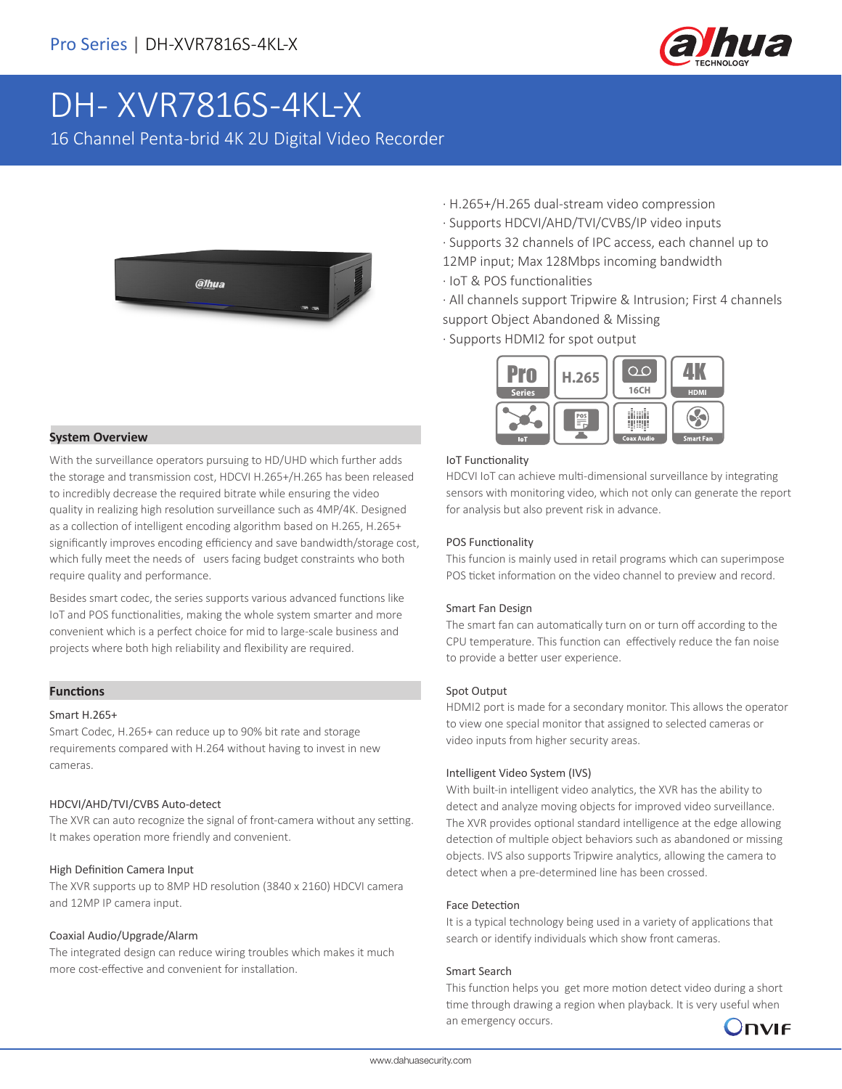

# DH- XVR7816S-4KL-X

16 Channel Penta-brid 4K 2U Digital Video Recorder



#### **System Overview**

With the surveillance operators pursuing to HD/UHD which further adds the storage and transmission cost, HDCVI H.265+/H.265 has been released to incredibly decrease the required bitrate while ensuring the video quality in realizing high resolution surveillance such as 4MP/4K. Designed as a collection of intelligent encoding algorithm based on H.265, H.265+ significantly improves encoding efficiency and save bandwidth/storage cost, which fully meet the needs of users facing budget constraints who both require quality and performance.

Besides smart codec, the series supports various advanced functions like IoT and POS functionalities, making the whole system smarter and more convenient which is a perfect choice for mid to large-scale business and projects where both high reliability and flexibility are required.

#### **Functions**

#### Smart H.265+

Smart Codec, H.265+ can reduce up to 90% bit rate and storage requirements compared with H.264 without having to invest in new cameras.

#### HDCVI/AHD/TVI/CVBS Auto-detect

The XVR can auto recognize the signal of front-camera without any setting. It makes operation more friendly and convenient.

#### High Definition Camera Input

The XVR supports up to 8MP HD resolution (3840 x 2160) HDCVI camera and 12MP IP camera input.

#### Coaxial Audio/Upgrade/Alarm

The integrated design can reduce wiring troubles which makes it much more cost-effective and convenient for installation.

- · H.265+/H.265 dual-stream video compression
- · Supports HDCVI/AHD/TVI/CVBS/IP video inputs
- · Supports 32 channels of IPC access, each channel up to 12MP input; Max 128Mbps incoming bandwidth
- · IoT & POS functionalities
- · All channels support Tripwire & Intrusion; First 4 channels support Object Abandoned & Missing
- · Supports HDMI2 for spot output



#### IoT Functionality

HDCVI IoT can achieve multi-dimensional surveillance by integrating sensors with monitoring video, which not only can generate the report for analysis but also prevent risk in advance.

#### POS Functionality

This funcion is mainly used in retail programs which can superimpose POS ticket information on the video channel to preview and record.

#### Smart Fan Design

The smart fan can automatically turn on or turn off according to the CPU temperature. This function can effectively reduce the fan noise to provide a better user experience.

#### Spot Output

HDMI2 port is made for a secondary monitor. This allows the operator to view one special monitor that assigned to selected cameras or video inputs from higher security areas.

#### Intelligent Video System (IVS)

With built-in intelligent video analytics, the XVR has the ability to detect and analyze moving objects for improved video surveillance. The XVR provides optional standard intelligence at the edge allowing detection of multiple object behaviors such as abandoned or missing objects. IVS also supports Tripwire analytics, allowing the camera to detect when a pre-determined line has been crossed.

#### Face Detection

It is a typical technology being used in a variety of applications that search or identify individuals which show front cameras.

#### Smart Search

This function helps you get more motion detect video during a short time through drawing a region when playback. It is very useful when an emergency occurs.

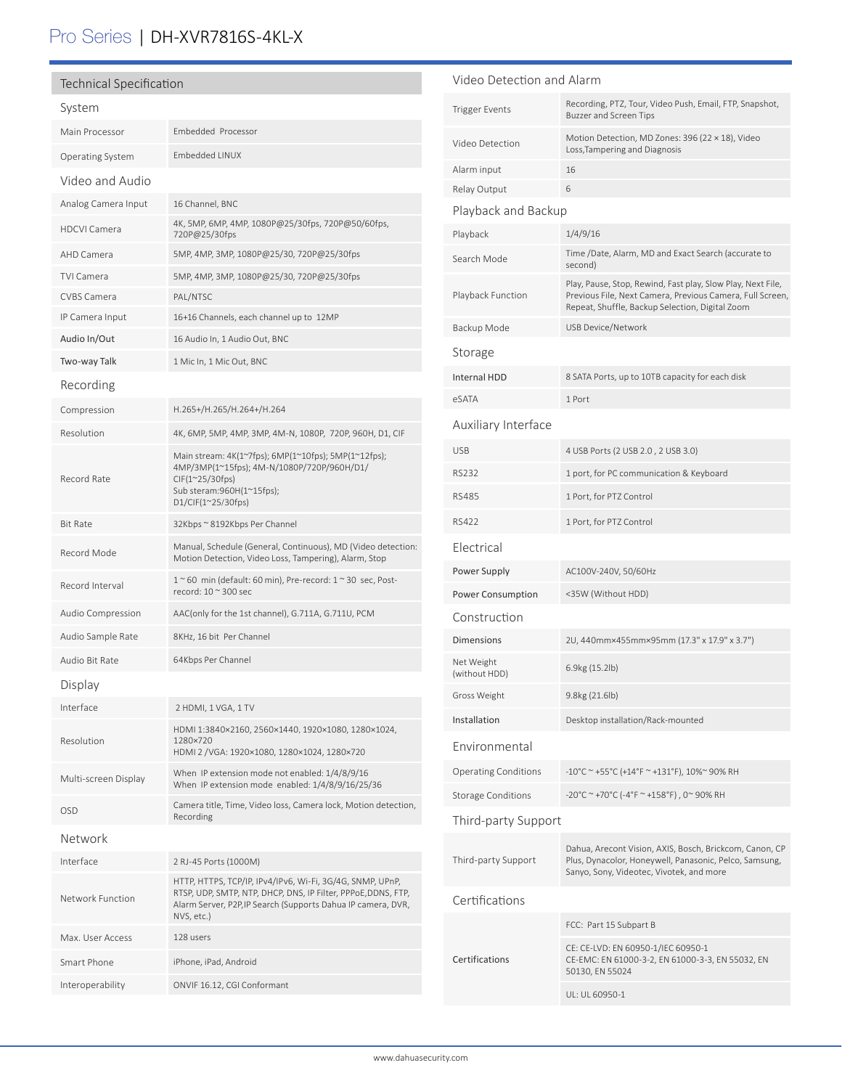# Pro Series | DH-XVR7816S-4KL-X

| <b>Technical Specification</b> |                                                                                                                                                                                                          |  |
|--------------------------------|----------------------------------------------------------------------------------------------------------------------------------------------------------------------------------------------------------|--|
| System                         |                                                                                                                                                                                                          |  |
| Main Processor                 | Embedded Processor                                                                                                                                                                                       |  |
| <b>Operating System</b>        | <b>Embedded LINUX</b>                                                                                                                                                                                    |  |
| Video and Audio                |                                                                                                                                                                                                          |  |
| Analog Camera Input            | 16 Channel, BNC                                                                                                                                                                                          |  |
| <b>HDCVI Camera</b>            | 4K, 5MP, 6MP, 4MP, 1080P@25/30fps, 720P@50/60fps,<br>720P@25/30fps                                                                                                                                       |  |
| AHD Camera                     | 5MP, 4MP, 3MP, 1080P@25/30, 720P@25/30fps                                                                                                                                                                |  |
| <b>TVI Camera</b>              | 5MP, 4MP, 3MP, 1080P@25/30, 720P@25/30fps                                                                                                                                                                |  |
| <b>CVBS Camera</b>             | PAL/NTSC                                                                                                                                                                                                 |  |
| IP Camera Input                | 16+16 Channels, each channel up to 12MP                                                                                                                                                                  |  |
| Audio In/Out                   | 16 Audio In, 1 Audio Out, BNC                                                                                                                                                                            |  |
| Two-way Talk                   | 1 Mic In, 1 Mic Out, BNC                                                                                                                                                                                 |  |
| Recording                      |                                                                                                                                                                                                          |  |
| Compression                    | H.265+/H.265/H.264+/H.264                                                                                                                                                                                |  |
| Resolution                     | 4K, 6MP, 5MP, 4MP, 3MP, 4M-N, 1080P, 720P, 960H, D1, CIF                                                                                                                                                 |  |
| Record Rate                    | Main stream: 4K(1~7fps); 6MP(1~10fps); 5MP(1~12fps);<br>4MP/3MP(1~15fps); 4M-N/1080P/720P/960H/D1/<br>$CIF(1^225/30fps)$<br>Sub steram:960H(1~15fps);<br>$D1/CIF(1^25/30fps)$                            |  |
| <b>Bit Rate</b>                | 32Kbps ~ 8192Kbps Per Channel                                                                                                                                                                            |  |
| Record Mode                    | Manual, Schedule (General, Continuous), MD (Video detection:<br>Motion Detection, Video Loss, Tampering), Alarm, Stop                                                                                    |  |
| Record Interval                | $1~$ ~60 min (default: 60 min), Pre-record: $1~$ ~30 sec, Post-<br>record: 10 ~ 300 sec                                                                                                                  |  |
| Audio Compression              | AAC(only for the 1st channel), G.711A, G.711U, PCM                                                                                                                                                       |  |
| Audio Sample Rate              | 8KHz, 16 bit Per Channel                                                                                                                                                                                 |  |
| Audio Bit Rate                 | 64Kbps Per Channel                                                                                                                                                                                       |  |
| Display                        |                                                                                                                                                                                                          |  |
| Interface                      | 2 HDMI, 1 VGA, 1 TV                                                                                                                                                                                      |  |
| Resolution                     | HDMI 1:3840×2160, 2560×1440, 1920×1080, 1280×1024,<br>1280×720<br>HDMI 2 / VGA: 1920×1080, 1280×1024, 1280×720                                                                                           |  |
| Multi-screen Display           | When IP extension mode not enabled: 1/4/8/9/16<br>When IP extension mode enabled: 1/4/8/9/16/25/36                                                                                                       |  |
| OSD                            | Camera title, Time, Video loss, Camera lock, Motion detection,<br>Recording                                                                                                                              |  |
| Network                        |                                                                                                                                                                                                          |  |
| Interface                      | 2 RJ-45 Ports (1000M)                                                                                                                                                                                    |  |
| Network Function               | HTTP, HTTPS, TCP/IP, IPv4/IPv6, Wi-Fi, 3G/4G, SNMP, UPnP,<br>RTSP, UDP, SMTP, NTP, DHCP, DNS, IP Filter, PPPoE, DDNS, FTP,<br>Alarm Server, P2P, IP Search (Supports Dahua IP camera, DVR,<br>NVS, etc.) |  |
| Max. User Access               | 128 users                                                                                                                                                                                                |  |
| Smart Phone                    | iPhone, iPad, Android                                                                                                                                                                                    |  |
| Interoperability               | ONVIF 16.12, CGI Conformant                                                                                                                                                                              |  |

| Video Detection and Alarm   |                                                                                                                                                                             |  |  |  |  |
|-----------------------------|-----------------------------------------------------------------------------------------------------------------------------------------------------------------------------|--|--|--|--|
| Trigger Events              | Recording, PTZ, Tour, Video Push, Email, FTP, Snapshot,<br><b>Buzzer and Screen Tips</b>                                                                                    |  |  |  |  |
| Video Detection             | Motion Detection, MD Zones: 396 (22 × 18), Video<br>Loss, Tampering and Diagnosis                                                                                           |  |  |  |  |
| Alarm input                 | 16                                                                                                                                                                          |  |  |  |  |
| Relay Output                | 6                                                                                                                                                                           |  |  |  |  |
| Playback and Backup         |                                                                                                                                                                             |  |  |  |  |
| Playback                    | 1/4/9/16                                                                                                                                                                    |  |  |  |  |
| Search Mode                 | Time /Date, Alarm, MD and Exact Search (accurate to<br>second)                                                                                                              |  |  |  |  |
| Playback Function           | Play, Pause, Stop, Rewind, Fast play, Slow Play, Next File,<br>Previous File, Next Camera, Previous Camera, Full Screen,<br>Repeat, Shuffle, Backup Selection, Digital Zoom |  |  |  |  |
| Backup Mode                 | USB Device/Network                                                                                                                                                          |  |  |  |  |
| Storage                     |                                                                                                                                                                             |  |  |  |  |
| Internal HDD                | 8 SATA Ports, up to 10TB capacity for each disk                                                                                                                             |  |  |  |  |
| eSATA                       | 1 Port                                                                                                                                                                      |  |  |  |  |
| Auxiliary Interface         |                                                                                                                                                                             |  |  |  |  |
| USB                         | 4 USB Ports (2 USB 2.0, 2 USB 3.0)                                                                                                                                          |  |  |  |  |
| RS232                       | 1 port, for PC communication & Keyboard                                                                                                                                     |  |  |  |  |
| <b>RS485</b>                | 1 Port, for PTZ Control                                                                                                                                                     |  |  |  |  |
| RS422                       | 1 Port, for PTZ Control                                                                                                                                                     |  |  |  |  |
| Electrical                  |                                                                                                                                                                             |  |  |  |  |
| Power Supply                | AC100V-240V, 50/60Hz                                                                                                                                                        |  |  |  |  |
| Power Consumption           | <35W (Without HDD)                                                                                                                                                          |  |  |  |  |
| Construction                |                                                                                                                                                                             |  |  |  |  |
| <b>Dimensions</b>           | 2U, 440mm×455mm×95mm (17.3" x 17.9" x 3.7")                                                                                                                                 |  |  |  |  |
| Net Weight<br>(without HDD) | 6.9kg (15.2lb)                                                                                                                                                              |  |  |  |  |
| Gross Weight                | 9.8kg (21.6lb)                                                                                                                                                              |  |  |  |  |
| Installation                | Desktop installation/Rack-mounted                                                                                                                                           |  |  |  |  |
| Environmental               |                                                                                                                                                                             |  |  |  |  |
| <b>Operating Conditions</b> | -10°C ~ +55°C (+14°F ~ +131°F), 10%~ 90% RH                                                                                                                                 |  |  |  |  |
| <b>Storage Conditions</b>   | -20°C ~ +70°C (-4°F ~ +158°F), 0~90% RH                                                                                                                                     |  |  |  |  |
| Third-party Support         |                                                                                                                                                                             |  |  |  |  |
| Third-party Support         | Dahua, Arecont Vision, AXIS, Bosch, Brickcom, Canon, CP<br>Plus, Dynacolor, Honeywell, Panasonic, Pelco, Samsung,<br>Sanyo, Sony, Videotec, Vivotek, and more               |  |  |  |  |
| Certifications              |                                                                                                                                                                             |  |  |  |  |
|                             | FCC: Part 15 Subpart B                                                                                                                                                      |  |  |  |  |
| Certifications              | CE: CE-LVD: EN 60950-1/IEC 60950-1<br>CE-EMC: EN 61000-3-2, EN 61000-3-3, EN 55032, EN<br>50130, EN 55024                                                                   |  |  |  |  |
|                             | UL: UL 60950-1                                                                                                                                                              |  |  |  |  |